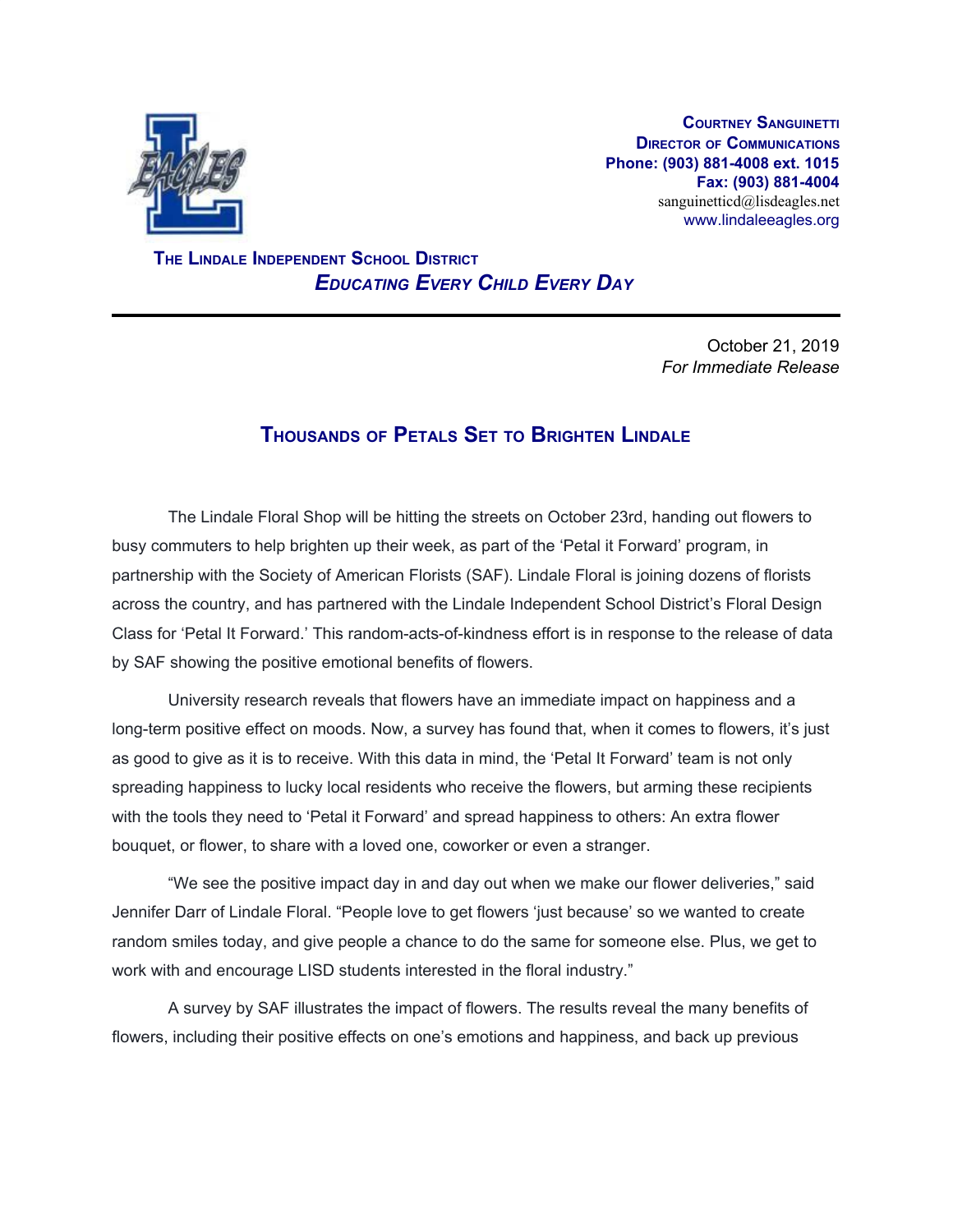

**COURTNEY SANGUINETTI DIRECTOR OF COMMUNICATIONS Phone: (903) 881-4008 ext. 1015 Fax: (903) 881-4004** sanguinetticd@lisdeagles.net www.lindaleeagles.org

 **THE LINDALE INDEPENDENT SCHOOL DISTRICT** *EDUCATING EVERY CHILD EVERY DAY*

> October 21, 2019 *For Immediate Release*

## **THOUSANDS OF PETALS SET TO BRIGHTEN LINDALE**

The Lindale Floral Shop will be hitting the streets on October 23rd, handing out flowers to busy commuters to help brighten up their week, as part of the 'Petal it Forward' program, in partnership with the Society of American Florists (SAF). Lindale Floral is joining dozens of florists across the country, and has partnered with the Lindale Independent School District's Floral Design Class for 'Petal It Forward.' This random-acts-of-kindness effort is in response to the release of data by SAF showing the positive emotional benefits of flowers.

University research reveals that flowers have an immediate impact on happiness and a long-term positive effect on moods. Now, a survey has found that, when it comes to flowers, it's just as good to give as it is to receive. With this data in mind, the 'Petal It Forward' team is not only spreading happiness to lucky local residents who receive the flowers, but arming these recipients with the tools they need to 'Petal it Forward' and spread happiness to others: An extra flower bouquet, or flower, to share with a loved one, coworker or even a stranger.

"We see the positive impact day in and day out when we make our flower deliveries," said Jennifer Darr of Lindale Floral. "People love to get flowers 'just because' so we wanted to create random smiles today, and give people a chance to do the same for someone else. Plus, we get to work with and encourage LISD students interested in the floral industry."

A survey by SAF illustrates the impact of flowers. The results reveal the many benefits of flowers, including their positive effects on one's emotions and happiness, and back up previous